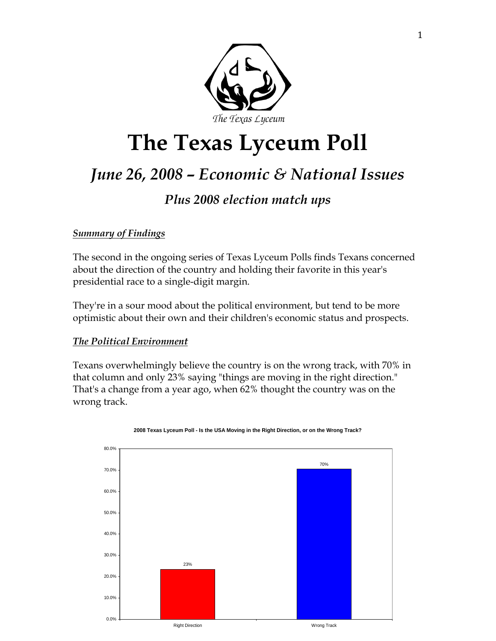

# **The Texas Lyceum Poll**

# *June 26, 2008 – Economic & National Issues*

## *Plus 2008 election match ups*

### *Summary of Findings*

The second in the ongoing series of Texas Lyceum Polls finds Texans concerned about the direction of the country and holding their favorite in this year's presidential race to a single-digit margin.

They're in a sour mood about the political environment, but tend to be more optimistic about their own and their children's economic status and prospects.

### *The Political Environment*

Texans overwhelmingly believe the country is on the wrong track, with 70% in that column and only 23% saying "things are moving in the right direction." That's a change from a year ago, when 62% thought the country was on the wrong track.



#### **2008 Texas Lyceum Poll - Is the USA Moving in the Right Direction, or on the Wrong Track?**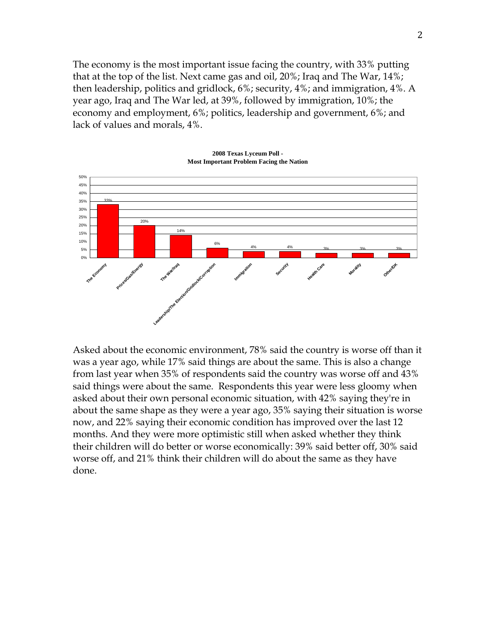The economy is the most important issue facing the country, with 33% putting that at the top of the list. Next came gas and oil, 20%; Iraq and The War, 14%; then leadership, politics and gridlock, 6%; security, 4%; and immigration, 4%. A year ago, Iraq and The War led, at 39%, followed by immigration, 10%; the economy and employment, 6%; politics, leadership and government, 6%; and lack of values and morals, 4%.



**2008 Texas Lyceum Poll - Most Important Problem Facing the Nation**

Asked about the economic environment, 78% said the country is worse off than it was a year ago, while 17% said things are about the same. This is also a change from last year when 35% of respondents said the country was worse off and 43% said things were about the same. Respondents this year were less gloomy when asked about their own personal economic situation, with 42% saying they're in about the same shape as they were a year ago, 35% saying their situation is worse now, and 22% saying their economic condition has improved over the last 12 months. And they were more optimistic still when asked whether they think their children will do better or worse economically: 39% said better off, 30% said worse off, and 21% think their children will do about the same as they have done.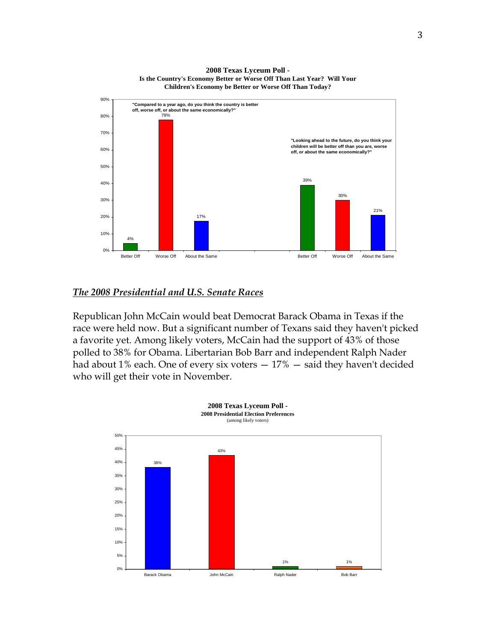

**2008 Texas Lyceum Poll - Is the Country's Economy Better or Worse Off Than Last Year? Will Your Children's Economy be Better or Worse Off Than Today?**

#### *The 2008 Presidential and U.S. Senate Races*

Republican John McCain would beat Democrat Barack Obama in Texas if the race were held now. But a significant number of Texans said they haven't picked a favorite yet. Among likely voters, McCain had the support of 43% of those polled to 38% for Obama. Libertarian Bob Barr and independent Ralph Nader had about 1% each. One of every six voters — 17% — said they haven't decided who will get their vote in November.

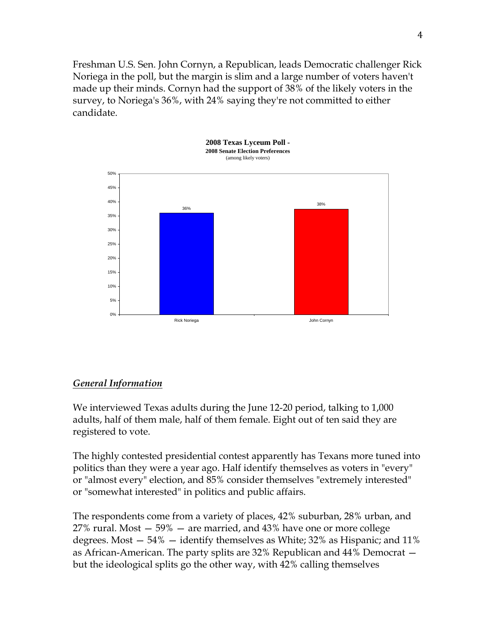Freshman U.S. Sen. John Cornyn, a Republican, leads Democratic challenger Rick Noriega in the poll, but the margin is slim and a large number of voters haven't made up their minds. Cornyn had the support of 38% of the likely voters in the survey, to Noriega's 36%, with 24% saying they're not committed to either candidate.



#### *General Information*

We interviewed Texas adults during the June 12-20 period, talking to 1,000 adults, half of them male, half of them female. Eight out of ten said they are registered to vote.

The highly contested presidential contest apparently has Texans more tuned into politics than they were a year ago. Half identify themselves as voters in "every" or "almost every" election, and 85% consider themselves "extremely interested" or "somewhat interested" in politics and public affairs.

The respondents come from a variety of places, 42% suburban, 28% urban, and 27% rural. Most — 59% — are married, and 43% have one or more college degrees. Most — 54% — identify themselves as White; 32% as Hispanic; and 11% as African-American. The party splits are 32% Republican and 44% Democrat but the ideological splits go the other way, with 42% calling themselves